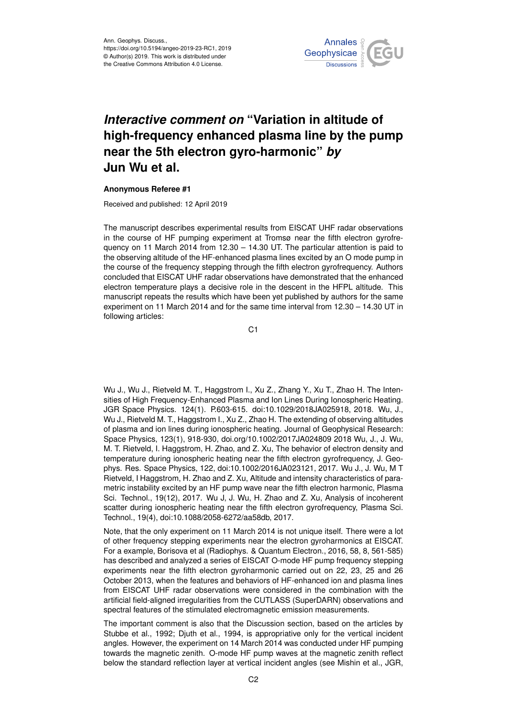

## *Interactive comment on* **"Variation in altitude of high-frequency enhanced plasma line by the pump near the 5th electron gyro-harmonic"** *by* **Jun Wu et al.**

## **Anonymous Referee #1**

Received and published: 12 April 2019

The manuscript describes experimental results from EISCAT UHF radar observations in the course of HF pumping experiment at Tromsø near the fifth electron gyrofrequency on 11 March 2014 from 12.30 – 14.30 UT. The particular attention is paid to the observing altitude of the HF-enhanced plasma lines excited by an O mode pump in the course of the frequency stepping through the fifth electron gyrofrequency. Authors concluded that EISCAT UHF radar observations have demonstrated that the enhanced electron temperature plays a decisive role in the descent in the HFPL altitude. This manuscript repeats the results which have been yet published by authors for the same experiment on 11 March 2014 and for the same time interval from 12.30 – 14.30 UT in following articles:

C1

Wu J., Wu J., Rietveld M. T., Haggstrom I., Xu Z., Zhang Y., Xu T., Zhao H. The Intensities of High Frequency-Enhanced Plasma and Ion Lines During Ionospheric Heating. JGR Space Physics. 124(1). P.603-615. doi:10.1029/2018JA025918, 2018. Wu, J., Wu J., Rietveld M. T., Haggstrom I., Xu Z., Zhao H. The extending of observing altitudes of plasma and ion lines during ionospheric heating. Journal of Geophysical Research: Space Physics, 123(1), 918-930, doi.org/10.1002/2017JA024809 2018 Wu, J., J. Wu, M. T. Rietveld, I. Haggstrom, H. Zhao, and Z. Xu, The behavior of electron density and temperature during ionospheric heating near the fifth electron gyrofrequency, J. Geophys. Res. Space Physics, 122, doi:10.1002/2016JA023121, 2017. Wu J., J. Wu, M T Rietveld, I Haggstrom, H. Zhao and Z. Xu, Altitude and intensity characteristics of parametric instability excited by an HF pump wave near the fifth electron harmonic, Plasma Sci. Technol., 19(12), 2017. Wu J, J. Wu, H. Zhao and Z. Xu, Analysis of incoherent scatter during ionospheric heating near the fifth electron gyrofrequency, Plasma Sci. Technol., 19(4), doi:10.1088/2058-6272/aa58db, 2017.

Note, that the only experiment on 11 March 2014 is not unique itself. There were a lot of other frequency stepping experiments near the electron gyroharmonics at EISCAT. For a example, Borisova et al (Radiophys. & Quantum Electron., 2016, 58, 8, 561-585) has described and analyzed a series of EISCAT O-mode HF pump frequency stepping experiments near the fifth electron gyroharmonic carried out on 22, 23, 25 and 26 October 2013, when the features and behaviors of HF-enhanced ion and plasma lines from EISCAT UHF radar observations were considered in the combination with the artificial field-aligned irregularities from the CUTLASS (SuperDARN) observations and spectral features of the stimulated electromagnetic emission measurements.

The important comment is also that the Discussion section, based on the articles by Stubbe et al., 1992; Djuth et al., 1994, is appropriative only for the vertical incident angles. However, the experiment on 14 March 2014 was conducted under HF pumping towards the magnetic zenith. O-mode HF pump waves at the magnetic zenith reflect below the standard reflection layer at vertical incident angles (see Mishin et al., JGR,